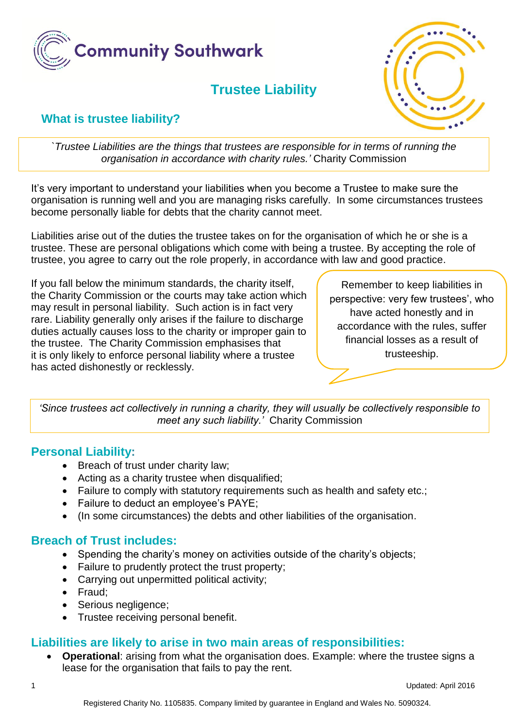

# **Trustee Liability**



## **What is trustee liability?**

*`Trustee Liabilities are the things that trustees are responsible for in terms of running the organisation in accordance with charity rules.'* Charity Commission

It's very important to understand your liabilities when you become a Trustee to make sure the organisation is running well and you are managing risks carefully. In some circumstances trustees become personally liable for debts that the charity cannot meet.

Liabilities arise out of the duties the trustee takes on for the organisation of which he or she is a trustee. These are personal obligations which come with being a trustee. By accepting the role of trustee, you agree to carry out the role properly, in accordance with law and good practice.

If you fall below the minimum standards, the charity itself, the Charity Commission or the courts may take action which may result in personal liability. Such action is in fact very rare. Liability generally only arises if the failure to discharge duties actually causes loss to the charity or improper gain to the trustee. The Charity Commission emphasises that it is only likely to enforce personal liability where a trustee has acted dishonestly or recklessly.

Remember to keep liabilities in perspective: very few trustees', who have acted honestly and in accordance with the rules, suffer financial losses as a result of trusteeship.

*'Since trustees act collectively in running a charity, they will usually be collectively responsible to meet any such liability.'* Charity Commission

#### **Personal Liability:**

- Breach of trust under charity law;
- Acting as a charity trustee when disqualified;
- Failure to comply with statutory requirements such as health and safety etc.;
- Failure to deduct an employee's PAYE;
- (In some circumstances) the debts and other liabilities of the organisation.

## **Breach of Trust includes:**

- Spending the charity's money on activities outside of the charity's objects;
- Failure to prudently protect the trust property;
- Carrying out unpermitted political activity;
- Fraud:
- Serious negligence;
- Trustee receiving personal benefit.

#### **Liabilities are likely to arise in two main areas of responsibilities:**

 **Operational**: arising from what the organisation does. Example: where the trustee signs a lease for the organisation that fails to pay the rent.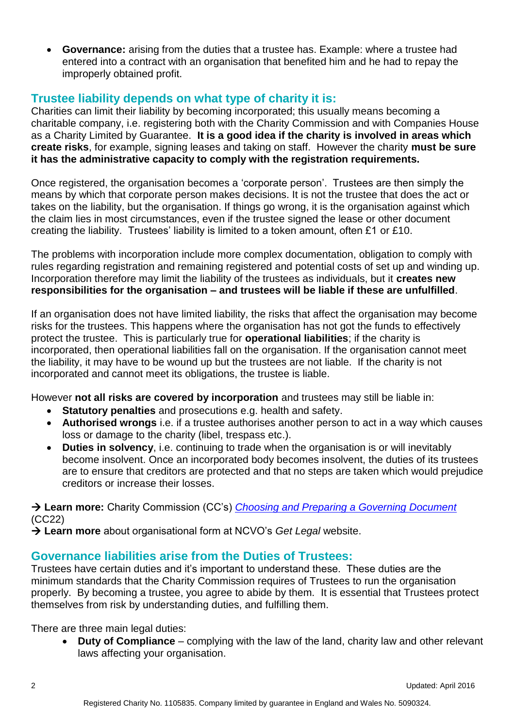**Governance:** arising from the duties that a trustee has. Example: where a trustee had entered into a contract with an organisation that benefited him and he had to repay the improperly obtained profit.

## **Trustee liability depends on what type of charity it is:**

Charities can limit their liability by becoming incorporated; this usually means becoming a charitable company, i.e. registering both with the Charity Commission and with Companies House as a Charity Limited by Guarantee. **It is a good idea if the charity is involved in areas which create risks**, for example, signing leases and taking on staff. However the charity **must be sure it has the administrative capacity to comply with the registration requirements.**

Once registered, the organisation becomes a 'corporate person'. Trustees are then simply the means by which that corporate person makes decisions. It is not the trustee that does the act or takes on the liability, but the organisation. If things go wrong, it is the organisation against which the claim lies in most circumstances, even if the trustee signed the lease or other document creating the liability. Trustees' liability is limited to a token amount, often £1 or £10.

The problems with incorporation include more complex documentation, obligation to comply with rules regarding registration and remaining registered and potential costs of set up and winding up. Incorporation therefore may limit the liability of the trustees as individuals, but it **creates new responsibilities for the organisation – and trustees will be liable if these are unfulfilled**.

If an organisation does not have limited liability, the risks that affect the organisation may become risks for the trustees. This happens where the organisation has not got the funds to effectively protect the trustee. This is particularly true for **operational liabilities**; if the charity is incorporated, then operational liabilities fall on the organisation. If the organisation cannot meet the liability, it may have to be wound up but the trustees are not liable. If the charity is not incorporated and cannot meet its obligations, the trustee is liable.

However **not all risks are covered by incorporation** and trustees may still be liable in:

- **Statutory penalties** and prosecutions e.g. health and safety.
- **Authorised wrongs** i.e. if a trustee authorises another person to act in a way which causes loss or damage to the charity (libel, trespass etc.).
- **Duties in solvency**, i.e. continuing to trade when the organisation is or will inevitably become insolvent. Once an incorporated body becomes insolvent, the duties of its trustees are to ensure that creditors are protected and that no steps are taken which would prejudice creditors or increase their losses.

→ Learn more: Charity Commission (CC's) *[Choosing and Preparing a Governing Document](http://www.charitycommission.gov.uk/detailed-guidance/registering-a-charity/choosing-and-preparing-a-governing-document-cc22/)* (CC22)

→ Learn more about organisational form at NCVO's Get Legal website.

#### **Governance liabilities arise from the Duties of Trustees:**

Trustees have certain duties and it's important to understand these. These duties are the minimum standards that the Charity Commission requires of Trustees to run the organisation properly. By becoming a trustee, you agree to abide by them. It is essential that Trustees protect themselves from risk by understanding duties, and fulfilling them.

There are three main legal duties:

 **Duty of Compliance** – complying with the law of the land, charity law and other relevant laws affecting your organisation.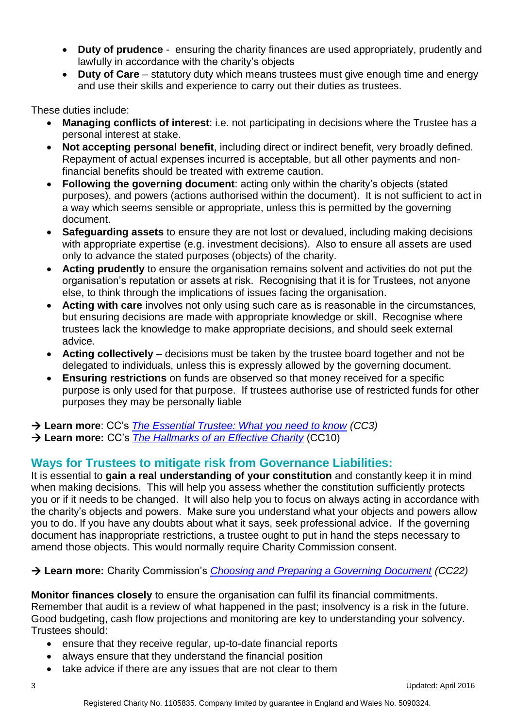- **Duty of prudence**  ensuring the charity finances are used appropriately, prudently and lawfully in accordance with the charity's objects
- **Duty of Care** statutory duty which means trustees must give enough time and energy and use their skills and experience to carry out their duties as trustees.

These duties include:

- **Managing conflicts of interest**: i.e. not participating in decisions where the Trustee has a personal interest at stake.
- **Not accepting personal benefit**, including direct or indirect benefit, very broadly defined. Repayment of actual expenses incurred is acceptable, but all other payments and nonfinancial benefits should be treated with extreme caution.
- **Following the governing document**: acting only within the charity's objects (stated purposes), and powers (actions authorised within the document). It is not sufficient to act in a way which seems sensible or appropriate, unless this is permitted by the governing document.
- **Safeguarding assets** to ensure they are not lost or devalued, including making decisions with appropriate expertise (e.g. investment decisions). Also to ensure all assets are used only to advance the stated purposes (objects) of the charity.
- **Acting prudently** to ensure the organisation remains solvent and activities do not put the organisation's reputation or assets at risk. Recognising that it is for Trustees, not anyone else, to think through the implications of issues facing the organisation.
- **Acting with care** involves not only using such care as is reasonable in the circumstances, but ensuring decisions are made with appropriate knowledge or skill. Recognise where trustees lack the knowledge to make appropriate decisions, and should seek external advice.
- **Acting collectively** decisions must be taken by the trustee board together and not be delegated to individuals, unless this is expressly allowed by the governing document.
- **Ensuring restrictions** on funds are observed so that money received for a specific purpose is only used for that purpose. If trustees authorise use of restricted funds for other purposes they may be personally liable

**Learn more**: CC's *[The Essential Trustee: What you need to know](http://www.charitycommission.gov.uk/detailed-guidance/trustees-staff-and-volunteers/the-essential-trustee-what-you-need-to-know-cc3/) (CC3)*

**Learn more:** CC's *[The Hallmarks of an Effective Charity](http://www.charitycommission.gov.uk/detailed-guidance/managing-your-charity/the-hallmarks-of-an-effective-charity-cc10/)* (CC10)

## **Ways for Trustees to mitigate risk from Governance Liabilities:**

It is essential to **gain a real understanding of your constitution** and constantly keep it in mind when making decisions. This will help you assess whether the constitution sufficiently protects you or if it needs to be changed. It will also help you to focus on always acting in accordance with the charity's objects and powers. Make sure you understand what your objects and powers allow you to do. If you have any doubts about what it says, seek professional advice. If the governing document has inappropriate restrictions, a trustee ought to put in hand the steps necessary to amend those objects. This would normally require Charity Commission consent.

## **Learn more:** Charity Commission's *[Choosing and Preparing a Governing Document](http://www.charitycommission.gov.uk/detailed-guidance/registering-a-charity/choosing-and-preparing-a-governing-document-cc22/) (CC22)*

**Monitor finances closely** to ensure the organisation can fulfil its financial commitments. Remember that audit is a review of what happened in the past; insolvency is a risk in the future. Good budgeting, cash flow projections and monitoring are key to understanding your solvency. Trustees should:

- ensure that they receive regular, up-to-date financial reports
- always ensure that they understand the financial position
- take advice if there are any issues that are not clear to them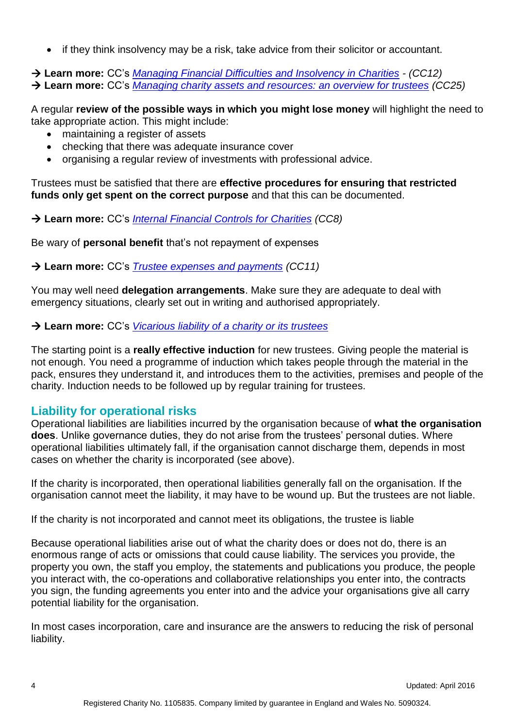• if they think insolvency may be a risk, take advice from their solicitor or accountant.

 **Learn more:** CC's *[Managing Financial Difficulties and Insolvency in Charities](http://www.charitycommission.gov.uk/detailed-guidance/money-and-accounts/managing-financial-difficulties-and-insolvency-in-charities-cc12/) - (CC12)* **Learn more:** CC's *[Managing charity assets and resources: an overview for trustees](http://www.charitycommission.gov.uk/detailed-guidance/money-and-accounts/managing-charity-assets-and-resources-an-overview-for-trustees-cc25/) (CC25)*

A regular **review of the possible ways in which you might lose money** will highlight the need to take appropriate action. This might include:

- maintaining a register of assets
- checking that there was adequate insurance cover
- organising a regular review of investments with professional advice.

Trustees must be satisfied that there are **effective procedures for ensuring that restricted funds only get spent on the correct purpose** and that this can be documented.

**Learn more:** CC's *[Internal Financial Controls for Charities](http://www.charitycommission.gov.uk/running-a-charity/money-and-accounts/handling-money-safely/) (CC8)*

Be wary of **personal benefit** that's not repayment of expenses

**Learn more:** CC's *[Trustee expenses and payments](http://www.charitycommission.gov.uk/detailed-guidance/money-and-accounts/trustee-expenses-and-payments-cc11/) (CC11)*

You may well need **delegation arrangements**. Make sure they are adequate to deal with emergency situations, clearly set out in writing and authorised appropriately.

**Learn more:** CC's *Vicarious [liability of a charity or its trustees](http://www.charitycommission.gov.uk/detailed-guidance/protecting-your-charity/vicarious-liability-of-a-charity-or-its-trustees/)*

The starting point is a **really effective induction** for new trustees. Giving people the material is not enough. You need a programme of induction which takes people through the material in the pack, ensures they understand it, and introduces them to the activities, premises and people of the charity. Induction needs to be followed up by regular training for trustees.

#### **Liability for operational risks**

Operational liabilities are liabilities incurred by the organisation because of **what the organisation does**. Unlike governance duties, they do not arise from the trustees' personal duties. Where operational liabilities ultimately fall, if the organisation cannot discharge them, depends in most cases on whether the charity is incorporated (see above).

If the charity is incorporated, then operational liabilities generally fall on the organisation. If the organisation cannot meet the liability, it may have to be wound up. But the trustees are not liable.

If the charity is not incorporated and cannot meet its obligations, the trustee is liable

Because operational liabilities arise out of what the charity does or does not do, there is an enormous range of acts or omissions that could cause liability. The services you provide, the property you own, the staff you employ, the statements and publications you produce, the people you interact with, the co-operations and collaborative relationships you enter into, the contracts you sign, the funding agreements you enter into and the advice your organisations give all carry potential liability for the organisation.

In most cases incorporation, care and insurance are the answers to reducing the risk of personal liability.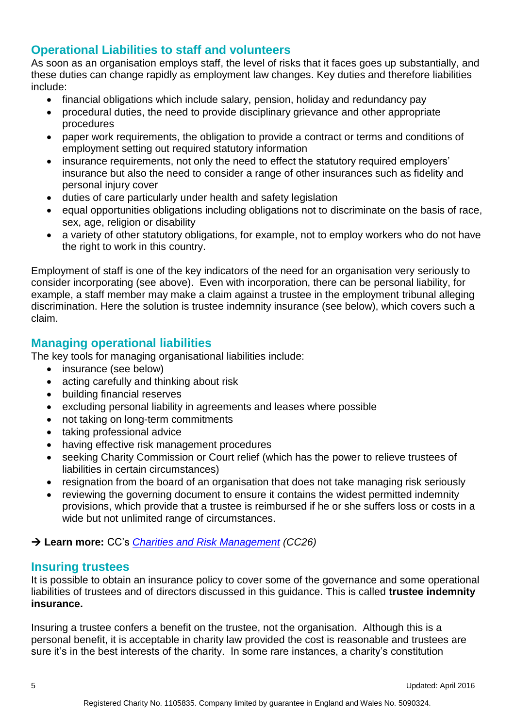## **Operational Liabilities to staff and volunteers**

As soon as an organisation employs staff, the level of risks that it faces goes up substantially, and these duties can change rapidly as employment law changes. Key duties and therefore liabilities include:

- financial obligations which include salary, pension, holiday and redundancy pay
- procedural duties, the need to provide disciplinary grievance and other appropriate procedures
- paper work requirements, the obligation to provide a contract or terms and conditions of employment setting out required statutory information
- insurance requirements, not only the need to effect the statutory required employers' insurance but also the need to consider a range of other insurances such as fidelity and personal injury cover
- duties of care particularly under health and safety legislation
- equal opportunities obligations including obligations not to discriminate on the basis of race, sex, age, religion or disability
- a variety of other statutory obligations, for example, not to employ workers who do not have the right to work in this country.

Employment of staff is one of the key indicators of the need for an organisation very seriously to consider incorporating (see above). Even with incorporation, there can be personal liability, for example, a staff member may make a claim against a trustee in the employment tribunal alleging discrimination. Here the solution is trustee indemnity insurance (see below), which covers such a claim.

## **Managing operational liabilities**

The key tools for managing organisational liabilities include:

- insurance (see below)
- acting carefully and thinking about risk
- building financial reserves
- excluding personal liability in agreements and leases where possible
- not taking on long-term commitments
- taking professional advice
- having effective risk management procedures
- seeking Charity Commission or Court relief (which has the power to relieve trustees of liabilities in certain circumstances)
- resignation from the board of an organisation that does not take managing risk seriously
- reviewing the governing document to ensure it contains the widest permitted indemnity provisions, which provide that a trustee is reimbursed if he or she suffers loss or costs in a wide but not unlimited range of circumstances.

**Learn more:** CC's *[Charities and Risk Management](http://www.charitycommission.gov.uk/detailed-guidance/protecting-your-charity/charities-and-risk-management-cc26/) (CC26)*

#### **Insuring trustees**

It is possible to obtain an insurance policy to cover some of the governance and some operational liabilities of trustees and of directors discussed in this guidance. This is called **trustee indemnity insurance.**

Insuring a trustee confers a benefit on the trustee, not the organisation. Although this is a personal benefit, it is acceptable in charity law provided the cost is reasonable and trustees are sure it's in the best interests of the charity. In some rare instances, a charity's constitution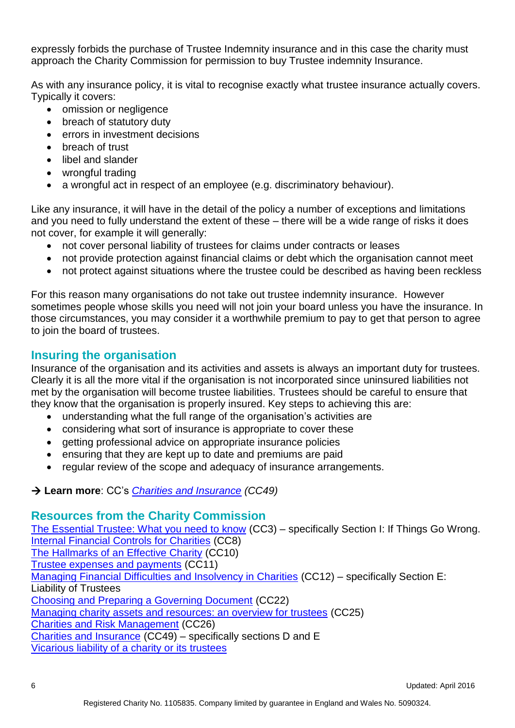expressly forbids the purchase of Trustee Indemnity insurance and in this case the charity must approach the Charity Commission for permission to buy Trustee indemnity Insurance.

As with any insurance policy, it is vital to recognise exactly what trustee insurance actually covers. Typically it covers:

- omission or negligence
- breach of statutory duty
- errors in investment decisions
- breach of trust
- libel and slander
- wrongful trading
- a wrongful act in respect of an employee (e.g. discriminatory behaviour).

Like any insurance, it will have in the detail of the policy a number of exceptions and limitations and you need to fully understand the extent of these – there will be a wide range of risks it does not cover, for example it will generally:

- not cover personal liability of trustees for claims under contracts or leases
- not provide protection against financial claims or debt which the organisation cannot meet
- not protect against situations where the trustee could be described as having been reckless

For this reason many organisations do not take out trustee indemnity insurance. However sometimes people whose skills you need will not join your board unless you have the insurance. In those circumstances, you may consider it a worthwhile premium to pay to get that person to agree to join the board of trustees.

## **Insuring the organisation**

Insurance of the organisation and its activities and assets is always an important duty for trustees. Clearly it is all the more vital if the organisation is not incorporated since uninsured liabilities not met by the organisation will become trustee liabilities. Trustees should be careful to ensure that they know that the organisation is properly insured. Key steps to achieving this are:

- understanding what the full range of the organisation's activities are
- considering what sort of insurance is appropriate to cover these
- getting professional advice on appropriate insurance policies
- ensuring that they are kept up to date and premiums are paid
- regular review of the scope and adequacy of insurance arrangements.

## **Learn more**: CC's *[Charities and Insurance](http://www.charitycommission.gov.uk/detailed-guidance/protecting-your-charity/charities-and-insurance-cc49/) (CC49)*

#### **Resources from the Charity Commission**

[The Essential Trustee: What you need to know](http://www.charitycommission.gov.uk/detailed-guidance/trustees-staff-and-volunteers/the-essential-trustee-what-you-need-to-know-cc3/) (CC3) – specifically Section I: If Things Go Wrong. [Internal Financial Controls for Charities](http://www.charitycommission.gov.uk/running-a-charity/money-and-accounts/handling-money-safely/) (CC8) [The Hallmarks of an Effective Charity](http://www.charitycommission.gov.uk/detailed-guidance/managing-your-charity/the-hallmarks-of-an-effective-charity-cc10/) (CC10) [Trustee expenses and payments](http://www.charitycommission.gov.uk/detailed-guidance/money-and-accounts/trustee-expenses-and-payments-cc11/) (CC11) [Managing Financial Difficulties and Insolvency in Charities](http://www.charitycommission.gov.uk/detailed-guidance/money-and-accounts/managing-financial-difficulties-and-insolvency-in-charities-cc12/) (CC12) – specifically Section E: Liability of Trustees [Choosing and Preparing a Governing Document](http://www.charitycommission.gov.uk/detailed-guidance/registering-a-charity/choosing-and-preparing-a-governing-document-cc22/) (CC22) [Managing charity assets and resources: an overview for trustees](http://www.charitycommission.gov.uk/detailed-guidance/money-and-accounts/managing-charity-assets-and-resources-an-overview-for-trustees-cc25/) (CC25) [Charities and Risk Management](http://www.charitycommission.gov.uk/detailed-guidance/protecting-your-charity/charities-and-risk-management-cc26/) (CC26) [Charities and Insurance](http://www.charitycommission.gov.uk/detailed-guidance/protecting-your-charity/charities-and-insurance-cc49/) (CC49) – specifically sections D and E [Vicarious liability of a charity or its trustees](http://www.charitycommission.gov.uk/detailed-guidance/protecting-your-charity/vicarious-liability-of-a-charity-or-its-trustees/)